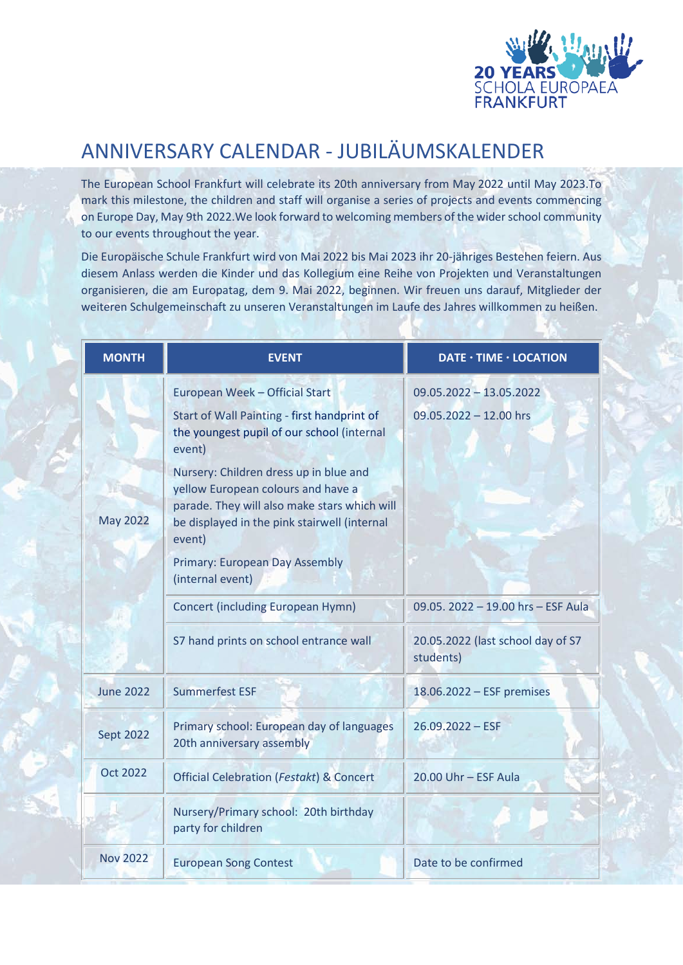

## ANNIVERSARY CALENDAR - JUBILÄUMSKALENDER

The European School Frankfurt will celebrate its 20th anniversary from May 2022 until May 2023.To mark this milestone, the children and staff will organise a series of projects and events commencing on Europe Day, May 9th 2022.We look forward to welcoming members of the wider school community to our events throughout the year.

Die Europäische Schule Frankfurt wird von Mai 2022 bis Mai 2023 ihr 20-jähriges Bestehen feiern. Aus diesem Anlass werden die Kinder und das Kollegium eine Reihe von Projekten und Veranstaltungen organisieren, die am Europatag, dem 9. Mai 2022, beginnen. Wir freuen uns darauf, Mitglieder der weiteren Schulgemeinschaft zu unseren Veranstaltungen im Laufe des Jahres willkommen zu heißen.

| <b>MONTH</b>     | <b>EVENT</b>                                                                                                                                                                           | DATE · TIME · LOCATION                         |
|------------------|----------------------------------------------------------------------------------------------------------------------------------------------------------------------------------------|------------------------------------------------|
| <b>May 2022</b>  | European Week - Official Start                                                                                                                                                         | $09.05.2022 - 13.05.2022$                      |
|                  | Start of Wall Painting - first handprint of<br>the youngest pupil of our school (internal<br>event)                                                                                    | $09.05.2022 - 12.00$ hrs                       |
|                  | Nursery: Children dress up in blue and<br>yellow European colours and have a<br>parade. They will also make stars which will<br>be displayed in the pink stairwell (internal<br>event) |                                                |
|                  | Primary: European Day Assembly<br>(internal event)                                                                                                                                     |                                                |
|                  | <b>Concert (including European Hymn)</b>                                                                                                                                               | 09.05. 2022 - 19.00 hrs - ESF Aula             |
|                  | S7 hand prints on school entrance wall                                                                                                                                                 | 20.05.2022 (last school day of S7<br>students) |
| <b>June 2022</b> | <b>Summerfest ESF</b>                                                                                                                                                                  | 18.06.2022 - ESF premises                      |
| <b>Sept 2022</b> | Primary school: European day of languages<br>20th anniversary assembly                                                                                                                 | $26.09.2022 - ESF$                             |
| <b>Oct 2022</b>  | Official Celebration (Festakt) & Concert                                                                                                                                               | $20.00$ Uhr - ESF Aula                         |
|                  | Nursery/Primary school: 20th birthday<br>party for children                                                                                                                            |                                                |
| <b>Nov 2022</b>  | <b>European Song Contest</b>                                                                                                                                                           | Date to be confirmed                           |